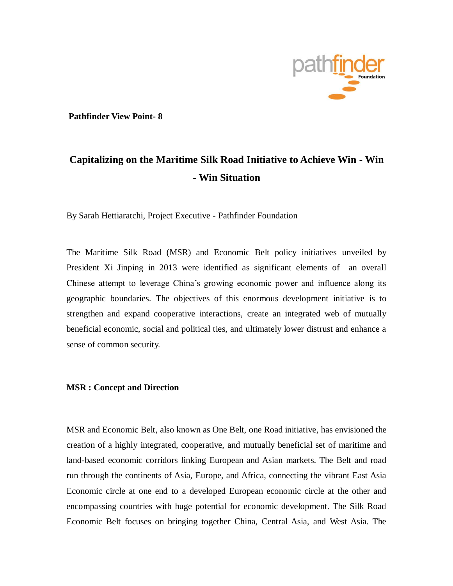

**Pathfinder View Point- 8** 

## **Capitalizing on the Maritime Silk Road Initiative to Achieve Win - Win - Win Situation**

By Sarah Hettiaratchi, Project Executive - Pathfinder Foundation

The Maritime Silk Road (MSR) and Economic Belt policy initiatives unveiled by President Xi Jinping in 2013 were identified as significant elements of an overall Chinese attempt to leverage China's growing economic power and influence along its geographic boundaries. The objectives of this enormous development initiative is to strengthen and expand cooperative interactions, create an integrated web of mutually beneficial economic, social and political ties, and ultimately lower distrust and enhance a sense of common security.

## **MSR : Concept and Direction**

MSR and Economic Belt, also known as One Belt, one Road initiative, has envisioned the creation of a highly integrated, cooperative, and mutually beneficial set of maritime and land-based economic corridors linking European and Asian markets. The Belt and road run through the continents of Asia, Europe, and Africa, connecting the vibrant East Asia Economic circle at one end to a developed European economic circle at the other and encompassing countries with huge potential for economic development. The Silk Road Economic Belt focuses on bringing together China, Central Asia, and West Asia. The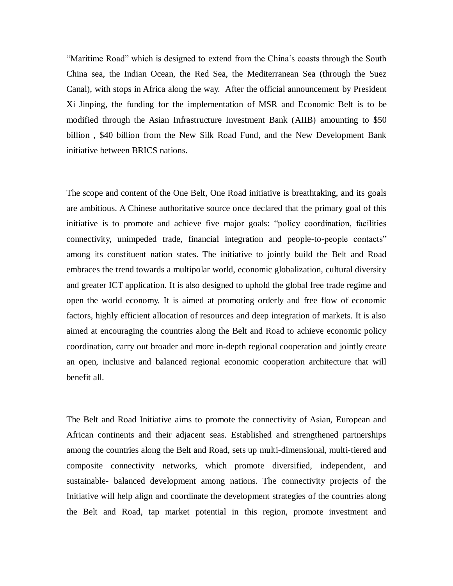"Maritime Road" which is designed to extend from the China's coasts through the South China sea, the Indian Ocean, the Red Sea, the Mediterranean Sea (through the Suez Canal), with stops in Africa along the way. After the official announcement by President Xi Jinping, the funding for the implementation of MSR and Economic Belt is to be modified through the Asian Infrastructure Investment Bank (AIIB) amounting to \$50 billion , \$40 billion from the New Silk Road Fund, and the New Development Bank initiative between BRICS nations.

The scope and content of the One Belt, One Road initiative is breathtaking, and its goals are ambitious. A Chinese authoritative source once declared that the primary goal of this initiative is to promote and achieve five major goals: "policy coordination, facilities connectivity, unimpeded trade, financial integration and people-to-people contacts" among its constituent nation states. The initiative to jointly build the Belt and Road embraces the trend towards a multipolar world, economic globalization, cultural diversity and greater ICT application. It is also designed to uphold the global free trade regime and open the world economy. It is aimed at promoting orderly and free flow of economic factors, highly efficient allocation of resources and deep integration of markets. It is also aimed at encouraging the countries along the Belt and Road to achieve economic policy coordination, carry out broader and more in-depth regional cooperation and jointly create an open, inclusive and balanced regional economic cooperation architecture that will benefit all.

The Belt and Road Initiative aims to promote the connectivity of Asian, European and African continents and their adjacent seas. Established and strengthened partnerships among the countries along the Belt and Road, sets up multi-dimensional, multi-tiered and composite connectivity networks, which promote diversified, independent, and sustainable- balanced development among nations. The connectivity projects of the Initiative will help align and coordinate the development strategies of the countries along the Belt and Road, tap market potential in this region, promote investment and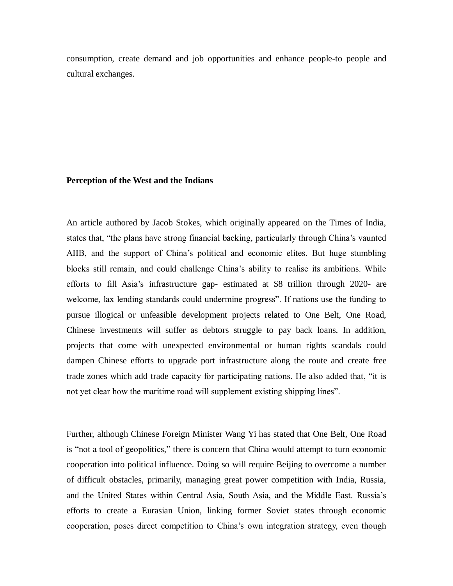consumption, create demand and job opportunities and enhance people-to people and cultural exchanges.

## **Perception of the West and the Indians**

An article authored by Jacob Stokes, which originally appeared on the Times of India, states that, "the plans have strong financial backing, particularly through China's vaunted AIIB, and the support of China's political and economic elites. But huge stumbling blocks still remain, and could challenge China's ability to realise its ambitions. While efforts to fill Asia's infrastructure gap- estimated at \$8 trillion through 2020- are welcome, lax lending standards could undermine progress". If nations use the funding to pursue illogical or unfeasible development projects related to One Belt, One Road, Chinese investments will suffer as debtors struggle to pay back loans. In addition, projects that come with unexpected environmental or human rights scandals could dampen Chinese efforts to upgrade port infrastructure along the route and create free trade zones which add trade capacity for participating nations. He also added that, "it is not yet clear how the maritime road will supplement existing shipping lines".

Further, although Chinese Foreign Minister Wang Yi has stated that One Belt, One Road is "not a tool of geopolitics," there is concern that China would attempt to turn economic cooperation into political influence. Doing so will require Beijing to overcome a number of difficult obstacles, primarily, managing great power competition with India, Russia, and the United States within Central Asia, South Asia, and the Middle East. Russia's efforts to create a Eurasian Union, linking former Soviet states through economic cooperation, poses direct competition to China's own integration strategy, even though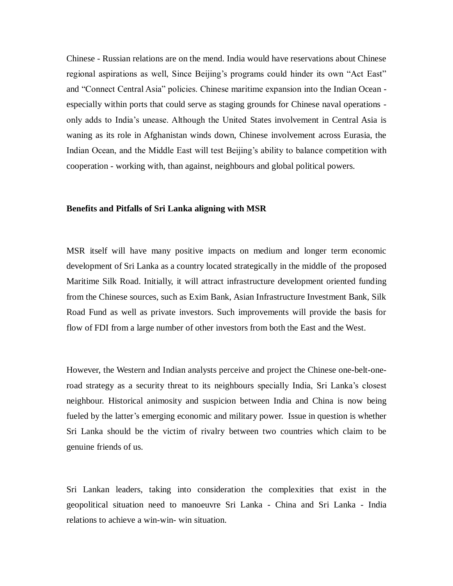Chinese - Russian relations are on the mend. India would have reservations about Chinese regional aspirations as well, Since Beijing's programs could hinder its own "Act East" and "Connect Central Asia" policies. Chinese maritime expansion into the Indian Ocean especially within ports that could serve as staging grounds for Chinese naval operations only adds to India's unease. Although the United States involvement in Central Asia is waning as its role in Afghanistan winds down, Chinese involvement across Eurasia, the Indian Ocean, and the Middle East will test Beijing's ability to balance competition with cooperation - working with, than against, neighbours and global political powers.

## **Benefits and Pitfalls of Sri Lanka aligning with MSR**

MSR itself will have many positive impacts on medium and longer term economic development of Sri Lanka as a country located strategically in the middle of the proposed Maritime Silk Road. Initially, it will attract infrastructure development oriented funding from the Chinese sources, such as Exim Bank, Asian Infrastructure Investment Bank, Silk Road Fund as well as private investors. Such improvements will provide the basis for flow of FDI from a large number of other investors from both the East and the West.

However, the Western and Indian analysts perceive and project the Chinese one-belt-oneroad strategy as a security threat to its neighbours specially India, Sri Lanka's closest neighbour. Historical animosity and suspicion between India and China is now being fueled by the latter's emerging economic and military power. Issue in question is whether Sri Lanka should be the victim of rivalry between two countries which claim to be genuine friends of us.

Sri Lankan leaders, taking into consideration the complexities that exist in the geopolitical situation need to manoeuvre Sri Lanka - China and Sri Lanka - India relations to achieve a win-win- win situation.